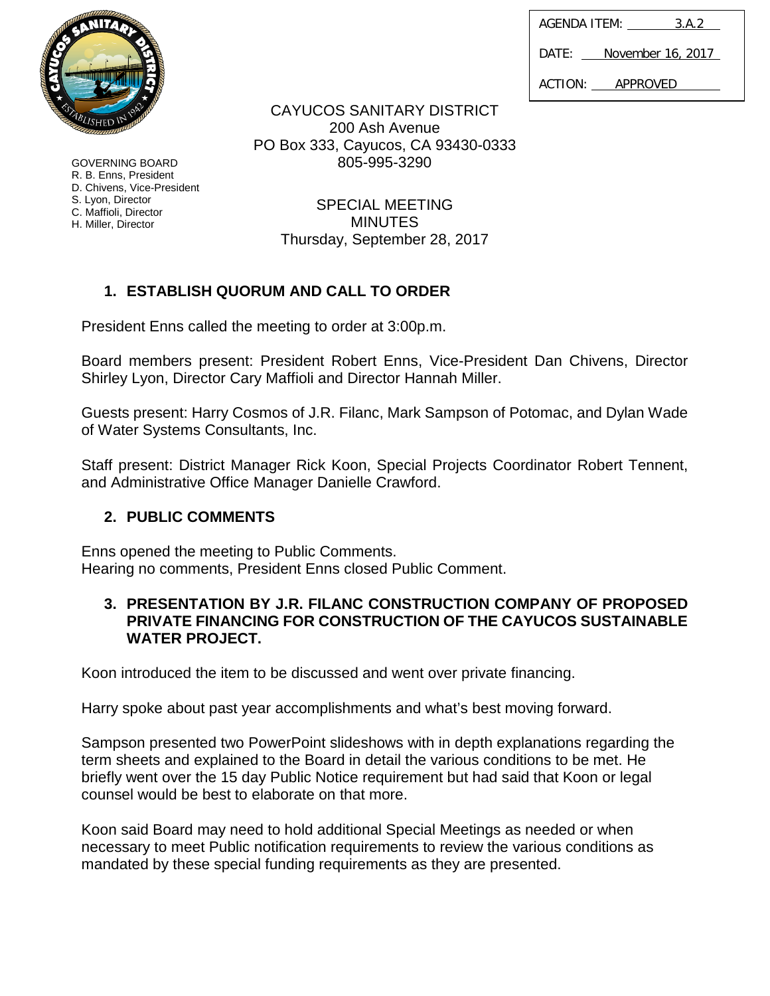| AGENDA ITEM: |  | 3.A.2             |
|--------------|--|-------------------|
| DATE:        |  | November 16, 2017 |
|              |  |                   |

ACTION: APPROVED

CAYUCOS SANITARY DISTRICT 200 Ash Avenue PO Box 333, Cayucos, CA 93430-0333 805-995-3290

> SPECIAL MEETING **MINUTES** Thursday, September 28, 2017

# **1. ESTABLISH QUORUM AND CALL TO ORDER**

President Enns called the meeting to order at 3:00p.m.

Board members present: President Robert Enns, Vice-President Dan Chivens, Director Shirley Lyon, Director Cary Maffioli and Director Hannah Miller.

Guests present: Harry Cosmos of J.R. Filanc, Mark Sampson of Potomac, and Dylan Wade of Water Systems Consultants, Inc.

Staff present: District Manager Rick Koon, Special Projects Coordinator Robert Tennent, and Administrative Office Manager Danielle Crawford.

## **2. PUBLIC COMMENTS**

Enns opened the meeting to Public Comments. Hearing no comments, President Enns closed Public Comment.

### **3. PRESENTATION BY J.R. FILANC CONSTRUCTION COMPANY OF PROPOSED PRIVATE FINANCING FOR CONSTRUCTION OF THE CAYUCOS SUSTAINABLE WATER PROJECT.**

Koon introduced the item to be discussed and went over private financing.

Harry spoke about past year accomplishments and what's best moving forward.

Sampson presented two PowerPoint slideshows with in depth explanations regarding the term sheets and explained to the Board in detail the various conditions to be met. He briefly went over the 15 day Public Notice requirement but had said that Koon or legal counsel would be best to elaborate on that more.

Koon said Board may need to hold additional Special Meetings as needed or when necessary to meet Public notification requirements to review the various conditions as mandated by these special funding requirements as they are presented.



GOVERNING BOARD R. B. Enns, President D. Chivens, Vice-President S. Lyon, Director C. Maffioli, Director H. Miller, Director